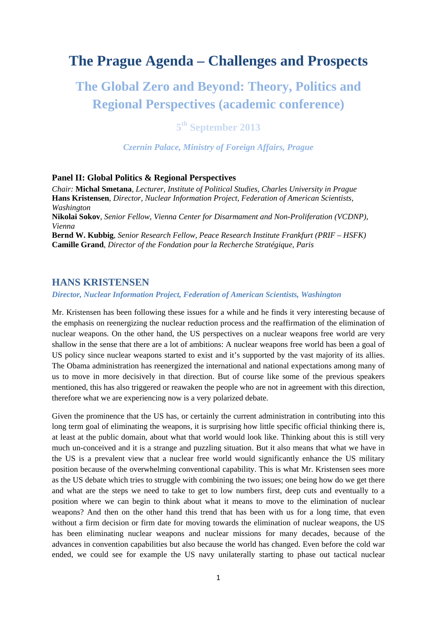## **The Prague Agenda – Challenges and Prospects**

# **The Global Zero and Beyond: Theory, Politics and Regional Perspectives (academic conference)**

**5th September 2013** 

*Czernin Palace, Ministry of Foreign Affairs, Prague*

### **Panel II: Global Politics & Regional Perspectives**

*Chair:* **Michal Smetana***, Lecturer, Institute of Political Studies, Charles University in Prague*  **Hans Kristensen**, *Director, Nuclear Information Project, Federation of American Scientists, Washington*  **Nikolai Sokov**, *Senior Fellow, Vienna Center for Disarmament and Non-Proliferation (VCDNP), Vienna* **Bernd W. Kubbig**, *Senior Research Fellow, Peace Research Institute Frankfurt (PRIF – HSFK)* **Camille Grand**, *Director of the Fondation pour la Recherche Stratégique, Paris* 

### **HANS KRISTENSEN**

#### *Director, Nuclear Information Project, Federation of American Scientists, Washington*

Mr. Kristensen has been following these issues for a while and he finds it very interesting because of the emphasis on reenergizing the nuclear reduction process and the reaffirmation of the elimination of nuclear weapons. On the other hand, the US perspectives on a nuclear weapons free world are very shallow in the sense that there are a lot of ambitions: A nuclear weapons free world has been a goal of US policy since nuclear weapons started to exist and it's supported by the vast majority of its allies. The Obama administration has reenergized the international and national expectations among many of us to move in more decisively in that direction. But of course like some of the previous speakers mentioned, this has also triggered or reawaken the people who are not in agreement with this direction, therefore what we are experiencing now is a very polarized debate.

Given the prominence that the US has, or certainly the current administration in contributing into this long term goal of eliminating the weapons, it is surprising how little specific official thinking there is, at least at the public domain, about what that world would look like. Thinking about this is still very much un-conceived and it is a strange and puzzling situation. But it also means that what we have in the US is a prevalent view that a nuclear free world would significantly enhance the US military position because of the overwhelming conventional capability. This is what Mr. Kristensen sees more as the US debate which tries to struggle with combining the two issues; one being how do we get there and what are the steps we need to take to get to low numbers first, deep cuts and eventually to a position where we can begin to think about what it means to move to the elimination of nuclear weapons? And then on the other hand this trend that has been with us for a long time, that even without a firm decision or firm date for moving towards the elimination of nuclear weapons, the US has been eliminating nuclear weapons and nuclear missions for many decades, because of the advances in convention capabilities but also because the world has changed. Even before the cold war ended, we could see for example the US navy unilaterally starting to phase out tactical nuclear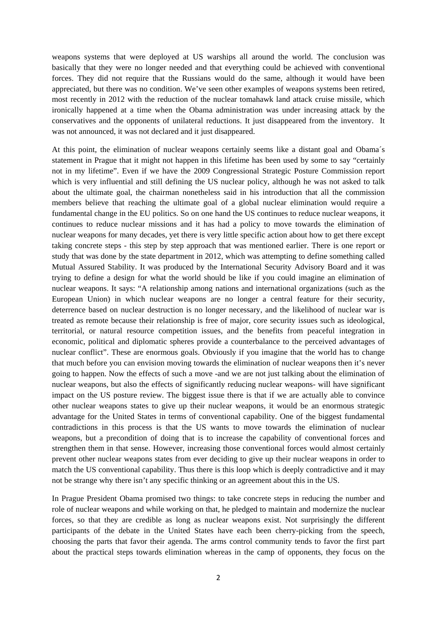weapons systems that were deployed at US warships all around the world. The conclusion was basically that they were no longer needed and that everything could be achieved with conventional forces. They did not require that the Russians would do the same, although it would have been appreciated, but there was no condition. We've seen other examples of weapons systems been retired, most recently in 2012 with the reduction of the nuclear tomahawk land attack cruise missile, which ironically happened at a time when the Obama administration was under increasing attack by the conservatives and the opponents of unilateral reductions. It just disappeared from the inventory. It was not announced, it was not declared and it just disappeared.

At this point, the elimination of nuclear weapons certainly seems like a distant goal and Obama´s statement in Prague that it might not happen in this lifetime has been used by some to say "certainly not in my lifetime". Even if we have the 2009 Congressional Strategic Posture Commission report which is very influential and still defining the US nuclear policy, although he was not asked to talk about the ultimate goal, the chairman nonetheless said in his introduction that all the commission members believe that reaching the ultimate goal of a global nuclear elimination would require a fundamental change in the EU politics. So on one hand the US continues to reduce nuclear weapons, it continues to reduce nuclear missions and it has had a policy to move towards the elimination of nuclear weapons for many decades, yet there is very little specific action about how to get there except taking concrete steps - this step by step approach that was mentioned earlier. There is one report or study that was done by the state department in 2012, which was attempting to define something called Mutual Assured Stability. It was produced by the International Security Advisory Board and it was trying to define a design for what the world should be like if you could imagine an elimination of nuclear weapons. It says: "A relationship among nations and international organizations (such as the European Union) in which nuclear weapons are no longer a central feature for their security, deterrence based on nuclear destruction is no longer necessary, and the likelihood of nuclear war is treated as remote because their relationship is free of major, core security issues such as ideological, territorial, or natural resource competition issues, and the benefits from peaceful integration in economic, political and diplomatic spheres provide a counterbalance to the perceived advantages of nuclear conflict". These are enormous goals. Obviously if you imagine that the world has to change that much before you can envision moving towards the elimination of nuclear weapons then it's never going to happen. Now the effects of such a move -and we are not just talking about the elimination of nuclear weapons, but also the effects of significantly reducing nuclear weapons- will have significant impact on the US posture review. The biggest issue there is that if we are actually able to convince other nuclear weapons states to give up their nuclear weapons, it would be an enormous strategic advantage for the United States in terms of conventional capability. One of the biggest fundamental contradictions in this process is that the US wants to move towards the elimination of nuclear weapons, but a precondition of doing that is to increase the capability of conventional forces and strengthen them in that sense. However, increasing those conventional forces would almost certainly prevent other nuclear weapons states from ever deciding to give up their nuclear weapons in order to match the US conventional capability. Thus there is this loop which is deeply contradictive and it may not be strange why there isn't any specific thinking or an agreement about this in the US.

In Prague President Obama promised two things: to take concrete steps in reducing the number and role of nuclear weapons and while working on that, he pledged to maintain and modernize the nuclear forces, so that they are credible as long as nuclear weapons exist. Not surprisingly the different participants of the debate in the United States have each been cherry-picking from the speech, choosing the parts that favor their agenda. The arms control community tends to favor the first part about the practical steps towards elimination whereas in the camp of opponents, they focus on the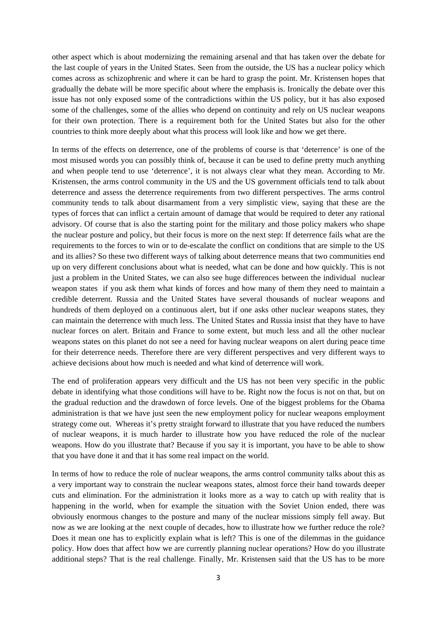other aspect which is about modernizing the remaining arsenal and that has taken over the debate for the last couple of years in the United States. Seen from the outside, the US has a nuclear policy which comes across as schizophrenic and where it can be hard to grasp the point. Mr. Kristensen hopes that gradually the debate will be more specific about where the emphasis is. Ironically the debate over this issue has not only exposed some of the contradictions within the US policy, but it has also exposed some of the challenges, some of the allies who depend on continuity and rely on US nuclear weapons for their own protection. There is a requirement both for the United States but also for the other countries to think more deeply about what this process will look like and how we get there.

In terms of the effects on deterrence, one of the problems of course is that 'deterrence' is one of the most misused words you can possibly think of, because it can be used to define pretty much anything and when people tend to use 'deterrence', it is not always clear what they mean. According to Mr. Kristensen, the arms control community in the US and the US government officials tend to talk about deterrence and assess the deterrence requirements from two different perspectives. The arms control community tends to talk about disarmament from a very simplistic view, saying that these are the types of forces that can inflict a certain amount of damage that would be required to deter any rational advisory. Of course that is also the starting point for the military and those policy makers who shape the nuclear posture and policy, but their focus is more on the next step: If deterrence fails what are the requirements to the forces to win or to de-escalate the conflict on conditions that are simple to the US and its allies? So these two different ways of talking about deterrence means that two communities end up on very different conclusions about what is needed, what can be done and how quickly. This is not just a problem in the United States, we can also see huge differences between the individual nuclear weapon states if you ask them what kinds of forces and how many of them they need to maintain a credible deterrent. Russia and the United States have several thousands of nuclear weapons and hundreds of them deployed on a continuous alert, but if one asks other nuclear weapons states, they can maintain the deterrence with much less. The United States and Russia insist that they have to have nuclear forces on alert. Britain and France to some extent, but much less and all the other nuclear weapons states on this planet do not see a need for having nuclear weapons on alert during peace time for their deterrence needs. Therefore there are very different perspectives and very different ways to achieve decisions about how much is needed and what kind of deterrence will work.

The end of proliferation appears very difficult and the US has not been very specific in the public debate in identifying what those conditions will have to be. Right now the focus is not on that, but on the gradual reduction and the drawdown of force levels. One of the biggest problems for the Obama administration is that we have just seen the new employment policy for nuclear weapons employment strategy come out. Whereas it's pretty straight forward to illustrate that you have reduced the numbers of nuclear weapons, it is much harder to illustrate how you have reduced the role of the nuclear weapons. How do you illustrate that? Because if you say it is important, you have to be able to show that you have done it and that it has some real impact on the world.

In terms of how to reduce the role of nuclear weapons, the arms control community talks about this as a very important way to constrain the nuclear weapons states, almost force their hand towards deeper cuts and elimination. For the administration it looks more as a way to catch up with reality that is happening in the world, when for example the situation with the Soviet Union ended, there was obviously enormous changes to the posture and many of the nuclear missions simply fell away. But now as we are looking at the next couple of decades, how to illustrate how we further reduce the role? Does it mean one has to explicitly explain what is left? This is one of the dilemmas in the guidance policy. How does that affect how we are currently planning nuclear operations? How do you illustrate additional steps? That is the real challenge. Finally, Mr. Kristensen said that the US has to be more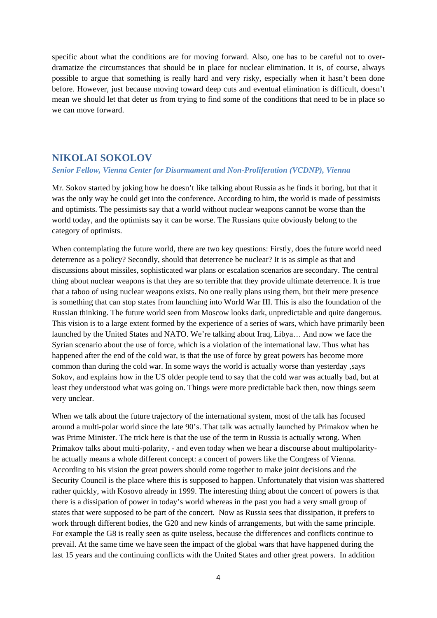specific about what the conditions are for moving forward. Also, one has to be careful not to overdramatize the circumstances that should be in place for nuclear elimination. It is, of course, always possible to argue that something is really hard and very risky, especially when it hasn't been done before. However, just because moving toward deep cuts and eventual elimination is difficult, doesn't mean we should let that deter us from trying to find some of the conditions that need to be in place so we can move forward.

## **NIKOLAI SOKOLOV**

#### *Senior Fellow, Vienna Center for Disarmament and Non-Proliferation (VCDNP), Vienna*

Mr. Sokov started by joking how he doesn't like talking about Russia as he finds it boring, but that it was the only way he could get into the conference. According to him, the world is made of pessimists and optimists. The pessimists say that a world without nuclear weapons cannot be worse than the world today, and the optimists say it can be worse. The Russians quite obviously belong to the category of optimists.

When contemplating the future world, there are two key questions: Firstly, does the future world need deterrence as a policy? Secondly, should that deterrence be nuclear? It is as simple as that and discussions about missiles, sophisticated war plans or escalation scenarios are secondary. The central thing about nuclear weapons is that they are so terrible that they provide ultimate deterrence. It is true that a taboo of using nuclear weapons exists. No one really plans using them, but their mere presence is something that can stop states from launching into World War III. This is also the foundation of the Russian thinking. The future world seen from Moscow looks dark, unpredictable and quite dangerous. This vision is to a large extent formed by the experience of a series of wars, which have primarily been launched by the United States and NATO. We're talking about Iraq, Libya… And now we face the Syrian scenario about the use of force, which is a violation of the international law. Thus what has happened after the end of the cold war, is that the use of force by great powers has become more common than during the cold war. In some ways the world is actually worse than yesterday ,says Sokov, and explains how in the US older people tend to say that the cold war was actually bad, but at least they understood what was going on. Things were more predictable back then, now things seem very unclear.

When we talk about the future trajectory of the international system, most of the talk has focused around a multi-polar world since the late 90's. That talk was actually launched by Primakov when he was Prime Minister. The trick here is that the use of the term in Russia is actually wrong. When Primakov talks about multi-polarity, - and even today when we hear a discourse about multipolarityhe actually means a whole different concept: a concert of powers like the Congress of Vienna. According to his vision the great powers should come together to make joint decisions and the Security Council is the place where this is supposed to happen. Unfortunately that vision was shattered rather quickly, with Kosovo already in 1999. The interesting thing about the concert of powers is that there is a dissipation of power in today's world whereas in the past you had a very small group of states that were supposed to be part of the concert. Now as Russia sees that dissipation, it prefers to work through different bodies, the G20 and new kinds of arrangements, but with the same principle. For example the G8 is really seen as quite useless, because the differences and conflicts continue to prevail. At the same time we have seen the impact of the global wars that have happened during the last 15 years and the continuing conflicts with the United States and other great powers. In addition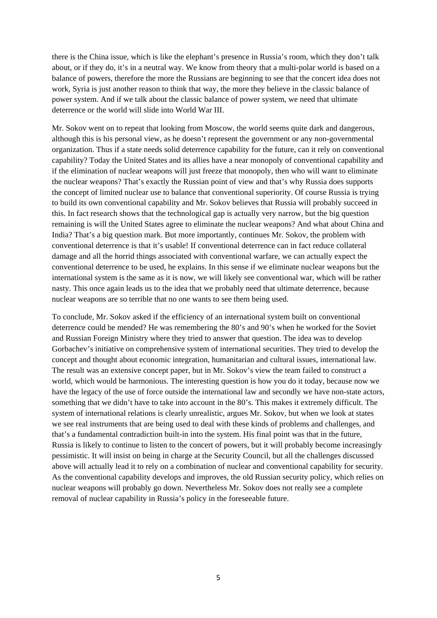there is the China issue, which is like the elephant's presence in Russia's room, which they don't talk about, or if they do, it's in a neutral way. We know from theory that a multi-polar world is based on a balance of powers, therefore the more the Russians are beginning to see that the concert idea does not work, Syria is just another reason to think that way, the more they believe in the classic balance of power system. And if we talk about the classic balance of power system, we need that ultimate deterrence or the world will slide into World War III.

Mr. Sokov went on to repeat that looking from Moscow, the world seems quite dark and dangerous, although this is his personal view, as he doesn't represent the government or any non-governmental organization. Thus if a state needs solid deterrence capability for the future, can it rely on conventional capability? Today the United States and its allies have a near monopoly of conventional capability and if the elimination of nuclear weapons will just freeze that monopoly, then who will want to eliminate the nuclear weapons? That's exactly the Russian point of view and that's why Russia does supports the concept of limited nuclear use to balance that conventional superiority. Of course Russia is trying to build its own conventional capability and Mr. Sokov believes that Russia will probably succeed in this. In fact research shows that the technological gap is actually very narrow, but the big question remaining is will the United States agree to eliminate the nuclear weapons? And what about China and India? That's a big question mark. But more importantly, continues Mr. Sokov, the problem with conventional deterrence is that it's usable! If conventional deterrence can in fact reduce collateral damage and all the horrid things associated with conventional warfare, we can actually expect the conventional deterrence to be used, he explains. In this sense if we eliminate nuclear weapons but the international system is the same as it is now, we will likely see conventional war, which will be rather nasty. This once again leads us to the idea that we probably need that ultimate deterrence, because nuclear weapons are so terrible that no one wants to see them being used.

To conclude, Mr. Sokov asked if the efficiency of an international system built on conventional deterrence could be mended? He was remembering the 80's and 90's when he worked for the Soviet and Russian Foreign Ministry where they tried to answer that question. The idea was to develop Gorbachev's initiative on comprehensive system of international securities. They tried to develop the concept and thought about economic integration, humanitarian and cultural issues, international law. The result was an extensive concept paper, but in Mr. Sokov's view the team failed to construct a world, which would be harmonious. The interesting question is how you do it today, because now we have the legacy of the use of force outside the international law and secondly we have non-state actors, something that we didn't have to take into account in the 80's. This makes it extremely difficult. The system of international relations is clearly unrealistic, argues Mr. Sokov, but when we look at states we see real instruments that are being used to deal with these kinds of problems and challenges, and that's a fundamental contradiction built-in into the system. His final point was that in the future, Russia is likely to continue to listen to the concert of powers, but it will probably become increasingly pessimistic. It will insist on being in charge at the Security Council, but all the challenges discussed above will actually lead it to rely on a combination of nuclear and conventional capability for security. As the conventional capability develops and improves, the old Russian security policy, which relies on nuclear weapons will probably go down. Nevertheless Mr. Sokov does not really see a complete removal of nuclear capability in Russia's policy in the foreseeable future.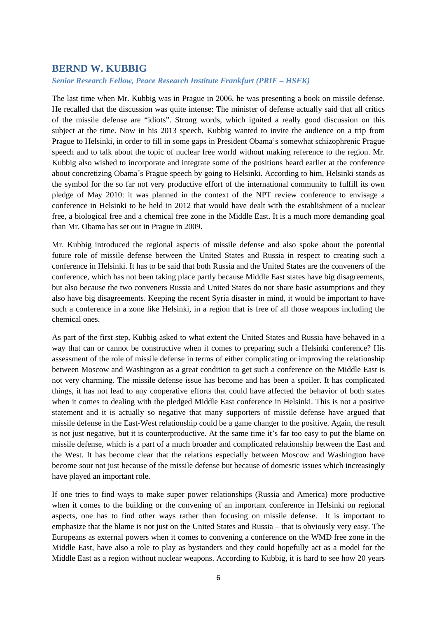## **BERND W. KUBBIG**

*Senior Research Fellow, Peace Research Institute Frankfurt (PRIF – HSFK)* 

The last time when Mr. Kubbig was in Prague in 2006, he was presenting a book on missile defense. He recalled that the discussion was quite intense: The minister of defense actually said that all critics of the missile defense are "idiots". Strong words, which ignited a really good discussion on this subject at the time. Now in his 2013 speech, Kubbig wanted to invite the audience on a trip from Prague to Helsinki, in order to fill in some gaps in President Obama's somewhat schizophrenic Prague speech and to talk about the topic of nuclear free world without making reference to the region. Mr. Kubbig also wished to incorporate and integrate some of the positions heard earlier at the conference about concretizing Obama´s Prague speech by going to Helsinki. According to him, Helsinki stands as the symbol for the so far not very productive effort of the international community to fulfill its own pledge of May 2010: it was planned in the context of the NPT review conference to envisage a conference in Helsinki to be held in 2012 that would have dealt with the establishment of a nuclear free, a biological free and a chemical free zone in the Middle East. It is a much more demanding goal than Mr. Obama has set out in Prague in 2009.

Mr. Kubbig introduced the regional aspects of missile defense and also spoke about the potential future role of missile defense between the United States and Russia in respect to creating such a conference in Helsinki. It has to be said that both Russia and the United States are the conveners of the conference, which has not been taking place partly because Middle East states have big disagreements, but also because the two conveners Russia and United States do not share basic assumptions and they also have big disagreements. Keeping the recent Syria disaster in mind, it would be important to have such a conference in a zone like Helsinki, in a region that is free of all those weapons including the chemical ones.

As part of the first step, Kubbig asked to what extent the United States and Russia have behaved in a way that can or cannot be constructive when it comes to preparing such a Helsinki conference? His assessment of the role of missile defense in terms of either complicating or improving the relationship between Moscow and Washington as a great condition to get such a conference on the Middle East is not very charming. The missile defense issue has become and has been a spoiler. It has complicated things, it has not lead to any cooperative efforts that could have affected the behavior of both states when it comes to dealing with the pledged Middle East conference in Helsinki. This is not a positive statement and it is actually so negative that many supporters of missile defense have argued that missile defense in the East-West relationship could be a game changer to the positive. Again, the result is not just negative, but it is counterproductive. At the same time it's far too easy to put the blame on missile defense, which is a part of a much broader and complicated relationship between the East and the West. It has become clear that the relations especially between Moscow and Washington have become sour not just because of the missile defense but because of domestic issues which increasingly have played an important role.

If one tries to find ways to make super power relationships (Russia and America) more productive when it comes to the building or the convening of an important conference in Helsinki on regional aspects, one has to find other ways rather than focusing on missile defense. It is important to emphasize that the blame is not just on the United States and Russia – that is obviously very easy. The Europeans as external powers when it comes to convening a conference on the WMD free zone in the Middle East, have also a role to play as bystanders and they could hopefully act as a model for the Middle East as a region without nuclear weapons. According to Kubbig, it is hard to see how 20 years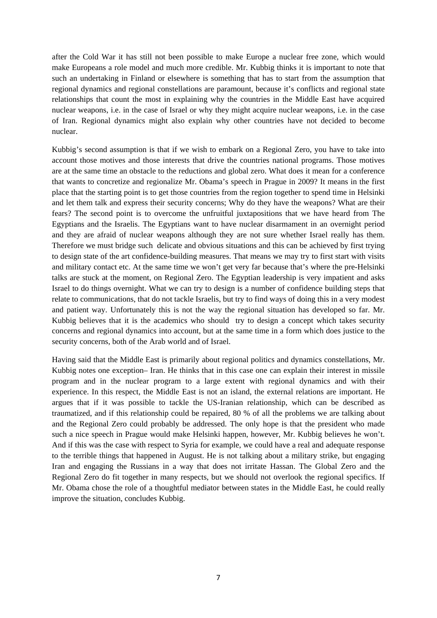after the Cold War it has still not been possible to make Europe a nuclear free zone, which would make Europeans a role model and much more credible. Mr. Kubbig thinks it is important to note that such an undertaking in Finland or elsewhere is something that has to start from the assumption that regional dynamics and regional constellations are paramount, because it's conflicts and regional state relationships that count the most in explaining why the countries in the Middle East have acquired nuclear weapons, i.e. in the case of Israel or why they might acquire nuclear weapons, i.e. in the case of Iran. Regional dynamics might also explain why other countries have not decided to become nuclear.

Kubbig's second assumption is that if we wish to embark on a Regional Zero, you have to take into account those motives and those interests that drive the countries national programs. Those motives are at the same time an obstacle to the reductions and global zero. What does it mean for a conference that wants to concretize and regionalize Mr. Obama's speech in Prague in 2009? It means in the first place that the starting point is to get those countries from the region together to spend time in Helsinki and let them talk and express their security concerns; Why do they have the weapons? What are their fears? The second point is to overcome the unfruitful juxtapositions that we have heard from The Egyptians and the Israelis. The Egyptians want to have nuclear disarmament in an overnight period and they are afraid of nuclear weapons although they are not sure whether Israel really has them. Therefore we must bridge such delicate and obvious situations and this can be achieved by first trying to design state of the art confidence-building measures. That means we may try to first start with visits and military contact etc. At the same time we won't get very far because that's where the pre-Helsinki talks are stuck at the moment, on Regional Zero. The Egyptian leadership is very impatient and asks Israel to do things overnight. What we can try to design is a number of confidence building steps that relate to communications, that do not tackle Israelis, but try to find ways of doing this in a very modest and patient way. Unfortunately this is not the way the regional situation has developed so far. Mr. Kubbig believes that it is the academics who should try to design a concept which takes security concerns and regional dynamics into account, but at the same time in a form which does justice to the security concerns, both of the Arab world and of Israel.

Having said that the Middle East is primarily about regional politics and dynamics constellations, Mr. Kubbig notes one exception– Iran. He thinks that in this case one can explain their interest in missile program and in the nuclear program to a large extent with regional dynamics and with their experience. In this respect, the Middle East is not an island, the external relations are important. He argues that if it was possible to tackle the US-Iranian relationship, which can be described as traumatized, and if this relationship could be repaired, 80 % of all the problems we are talking about and the Regional Zero could probably be addressed. The only hope is that the president who made such a nice speech in Prague would make Helsinki happen, however, Mr. Kubbig believes he won't. And if this was the case with respect to Syria for example, we could have a real and adequate response to the terrible things that happened in August. He is not talking about a military strike, but engaging Iran and engaging the Russians in a way that does not irritate Hassan. The Global Zero and the Regional Zero do fit together in many respects, but we should not overlook the regional specifics. If Mr. Obama chose the role of a thoughtful mediator between states in the Middle East, he could really improve the situation, concludes Kubbig.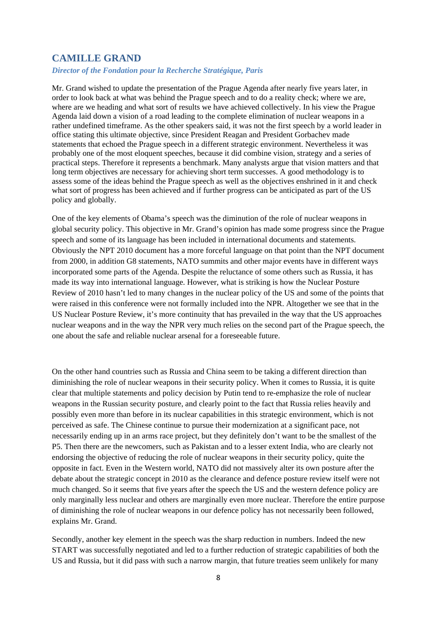## **CAMILLE GRAND**

### *Director of the Fondation pour la Recherche Stratégique, Paris*

Mr. Grand wished to update the presentation of the Prague Agenda after nearly five years later, in order to look back at what was behind the Prague speech and to do a reality check; where we are, where are we heading and what sort of results we have achieved collectively. In his view the Prague Agenda laid down a vision of a road leading to the complete elimination of nuclear weapons in a rather undefined timeframe. As the other speakers said, it was not the first speech by a world leader in office stating this ultimate objective, since President Reagan and President Gorbachev made statements that echoed the Prague speech in a different strategic environment. Nevertheless it was probably one of the most eloquent speeches, because it did combine vision, strategy and a series of practical steps. Therefore it represents a benchmark. Many analysts argue that vision matters and that long term objectives are necessary for achieving short term successes. A good methodology is to assess some of the ideas behind the Prague speech as well as the objectives enshrined in it and check what sort of progress has been achieved and if further progress can be anticipated as part of the US policy and globally.

One of the key elements of Obama's speech was the diminution of the role of nuclear weapons in global security policy. This objective in Mr. Grand's opinion has made some progress since the Prague speech and some of its language has been included in international documents and statements. Obviously the NPT 2010 document has a more forceful language on that point than the NPT document from 2000, in addition G8 statements, NATO summits and other major events have in different ways incorporated some parts of the Agenda. Despite the reluctance of some others such as Russia, it has made its way into international language. However, what is striking is how the Nuclear Posture Review of 2010 hasn't led to many changes in the nuclear policy of the US and some of the points that were raised in this conference were not formally included into the NPR. Altogether we see that in the US Nuclear Posture Review, it's more continuity that has prevailed in the way that the US approaches nuclear weapons and in the way the NPR very much relies on the second part of the Prague speech, the one about the safe and reliable nuclear arsenal for a foreseeable future.

On the other hand countries such as Russia and China seem to be taking a different direction than diminishing the role of nuclear weapons in their security policy. When it comes to Russia, it is quite clear that multiple statements and policy decision by Putin tend to re-emphasize the role of nuclear weapons in the Russian security posture, and clearly point to the fact that Russia relies heavily and possibly even more than before in its nuclear capabilities in this strategic environment, which is not perceived as safe. The Chinese continue to pursue their modernization at a significant pace, not necessarily ending up in an arms race project, but they definitely don't want to be the smallest of the P5. Then there are the newcomers, such as Pakistan and to a lesser extent India, who are clearly not endorsing the objective of reducing the role of nuclear weapons in their security policy, quite the opposite in fact. Even in the Western world, NATO did not massively alter its own posture after the debate about the strategic concept in 2010 as the clearance and defence posture review itself were not much changed. So it seems that five years after the speech the US and the western defence policy are only marginally less nuclear and others are marginally even more nuclear. Therefore the entire purpose of diminishing the role of nuclear weapons in our defence policy has not necessarily been followed, explains Mr. Grand.

Secondly, another key element in the speech was the sharp reduction in numbers. Indeed the new START was successfully negotiated and led to a further reduction of strategic capabilities of both the US and Russia, but it did pass with such a narrow margin, that future treaties seem unlikely for many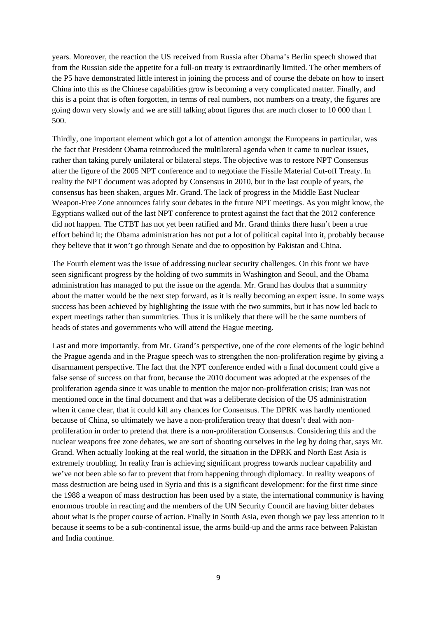years. Moreover, the reaction the US received from Russia after Obama's Berlin speech showed that from the Russian side the appetite for a full-on treaty is extraordinarily limited. The other members of the P5 have demonstrated little interest in joining the process and of course the debate on how to insert China into this as the Chinese capabilities grow is becoming a very complicated matter. Finally, and this is a point that is often forgotten, in terms of real numbers, not numbers on a treaty, the figures are going down very slowly and we are still talking about figures that are much closer to 10 000 than 1 500.

Thirdly, one important element which got a lot of attention amongst the Europeans in particular, was the fact that President Obama reintroduced the multilateral agenda when it came to nuclear issues, rather than taking purely unilateral or bilateral steps. The objective was to restore NPT Consensus after the figure of the 2005 NPT conference and to negotiate the Fissile Material Cut-off Treaty. In reality the NPT document was adopted by Consensus in 2010, but in the last couple of years, the consensus has been shaken, argues Mr. Grand. The lack of progress in the Middle East Nuclear Weapon-Free Zone announces fairly sour debates in the future NPT meetings. As you might know, the Egyptians walked out of the last NPT conference to protest against the fact that the 2012 conference did not happen. The CTBT has not yet been ratified and Mr. Grand thinks there hasn't been a true effort behind it; the Obama administration has not put a lot of political capital into it, probably because they believe that it won't go through Senate and due to opposition by Pakistan and China.

The Fourth element was the issue of addressing nuclear security challenges. On this front we have seen significant progress by the holding of two summits in Washington and Seoul, and the Obama administration has managed to put the issue on the agenda. Mr. Grand has doubts that a summitry about the matter would be the next step forward, as it is really becoming an expert issue. In some ways success has been achieved by highlighting the issue with the two summits, but it has now led back to expert meetings rather than summitries. Thus it is unlikely that there will be the same numbers of heads of states and governments who will attend the Hague meeting.

Last and more importantly, from Mr. Grand's perspective, one of the core elements of the logic behind the Prague agenda and in the Prague speech was to strengthen the non-proliferation regime by giving a disarmament perspective. The fact that the NPT conference ended with a final document could give a false sense of success on that front, because the 2010 document was adopted at the expenses of the proliferation agenda since it was unable to mention the major non-proliferation crisis; Iran was not mentioned once in the final document and that was a deliberate decision of the US administration when it came clear, that it could kill any chances for Consensus. The DPRK was hardly mentioned because of China, so ultimately we have a non-proliferation treaty that doesn't deal with nonproliferation in order to pretend that there is a non-proliferation Consensus. Considering this and the nuclear weapons free zone debates, we are sort of shooting ourselves in the leg by doing that, says Mr. Grand. When actually looking at the real world, the situation in the DPRK and North East Asia is extremely troubling. In reality Iran is achieving significant progress towards nuclear capability and we've not been able so far to prevent that from happening through diplomacy. In reality weapons of mass destruction are being used in Syria and this is a significant development: for the first time since the 1988 a weapon of mass destruction has been used by a state, the international community is having enormous trouble in reacting and the members of the UN Security Council are having bitter debates about what is the proper course of action. Finally in South Asia, even though we pay less attention to it because it seems to be a sub-continental issue, the arms build-up and the arms race between Pakistan and India continue.